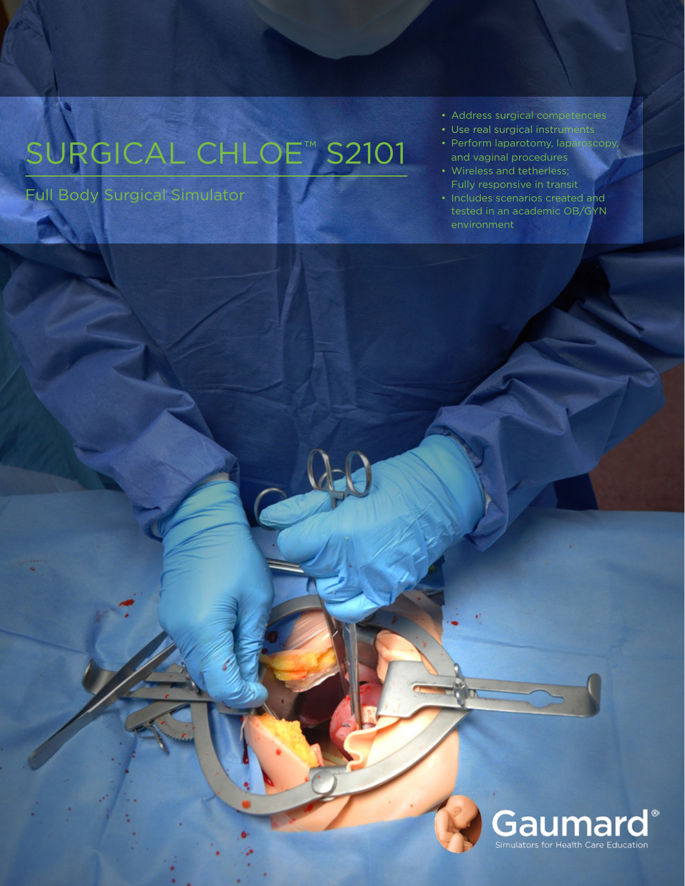# SURGICAL CHLOE™ S2101

Full Body Surgical Simulator

- Address surgical competencies
- Use real surgical instruments
- Perform laparotomy, laparoscopy, and vaginal procedures
- Wireless and tetherless; Fully responsive in transit
- Includes scenarios created and tested in an academic OB/GYN environment

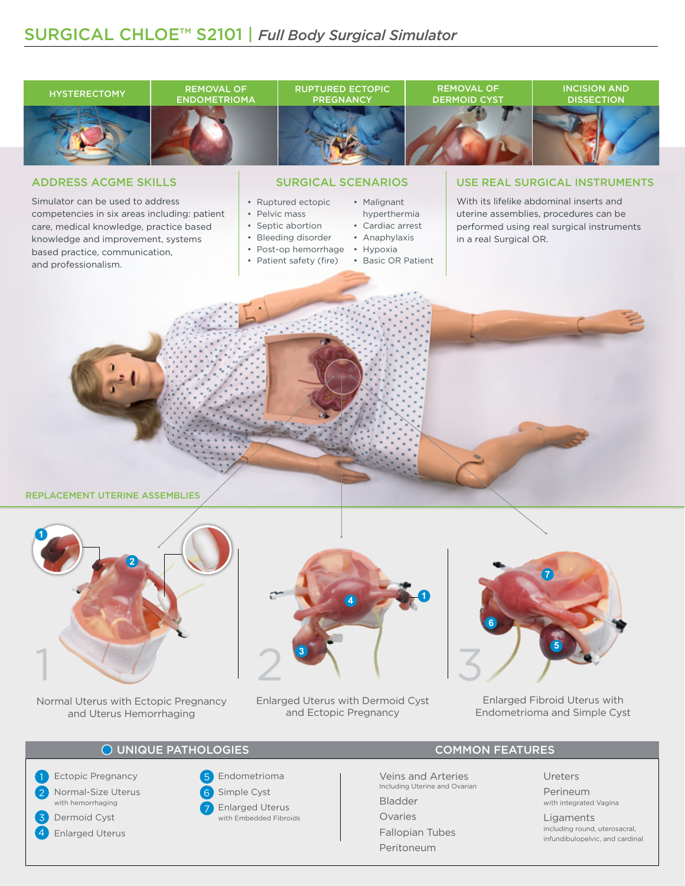



Normal Uterus with Ectopic Pregnancy and Uterus Hemorrhaging



Enlarged Uterus with Dermoid Cyst and Ectopic Pregnancy



Enlarged Fibroid Uterus with Endometrioma and Simple Cyst

#### O UNIQUE PATHOLOGIES COMMON FEATURES

Ectopic Pregnancy Normal-Size Uterus with hemorrhaging Dermoid Cyst Enlarged Uterus 1 2 3 4

## 5 Endometrioma





with Embedded Fibroids

Veins and Arteries **Ureters** Including Uterine and Ovarian

Bladder

Ovaries

Fallopian Tubes Peritoneum

Perineum<br>with integrated Vagina

Ligaments including round, uterosacral, infundibulopelvic, and cardinal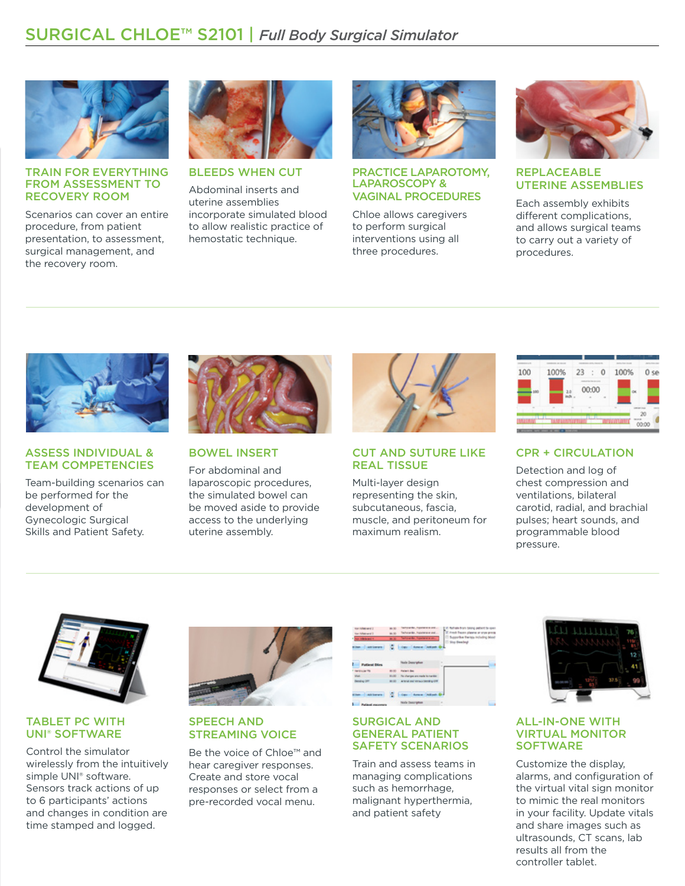

#### TRAIN FOR EVERYTHING FROM ASSESSMENT TO RECOVERY ROOM

Scenarios can cover an entire procedure, from patient presentation, to assessment, surgical management, and the recovery room.



BLEEDS WHEN CUT

Abdominal inserts and uterine assemblies incorporate simulated blood to allow realistic practice of hemostatic technique.



#### PRACTICE LAPAROTOMY, LAPAROSCOPY & VAGINAL PROCEDURES

Chloe allows caregivers to perform surgical interventions using all three procedures.



#### REPLACEABLE UTERINE ASSEMBLIES

Each assembly exhibits different complications, and allows surgical teams to carry out a variety of procedures.



#### ASSESS INDIVIDUAL & TEAM COMPETENCIES

Team-building scenarios can be performed for the development of Gynecologic Surgical Skills and Patient Safety.



BOWEL INSERT

For abdominal and laparoscopic procedures, the simulated bowel can be moved aside to provide access to the underlying uterine assembly.



#### CUT AND SUTURE LIKE REAL TISSUE

Multi-layer design representing the skin, subcutaneous, fascia, muscle, and peritoneum for maximum realism.



#### CPR + CIRCULATION

Detection and log of chest compression and ventilations, bilateral carotid, radial, and brachial pulses; heart sounds, and programmable blood pressure.



#### TABLET PC WITH UNI® SOFTWARE

Control the simulator wirelessly from the intuitively simple UNI® software. Sensors track actions of up to 6 participants' actions and changes in condition are time stamped and logged.



## SPEECH AND STREAMING VOICE

Be the voice of Chloe™ and hear caregiver responses. Create and store vocal responses or select from a pre-recorded vocal menu.

| the infation of 2                    | m to:  | lativate. Naversis and<br>E.K. fall als from taking patient to open        |
|--------------------------------------|--------|----------------------------------------------------------------------------|
| <b>Tor-Makewal I</b>                 | an int | E. Fresh Reason players an erse proces<br>Tehnelle, hashini est            |
| <b>Non-Indential A</b>               |        | <sup>[]</sup> Supportive therings including blood<br>lation to humanitime. |
| a ban Julianan                       |        | III tiny directory<br><b>Cape Annual Antion One</b>                        |
| <b>Patient Direct</b>                |        | <b>Hole Description</b><br>۰<br>٠                                          |
| <b>THE REGISTER</b>                  | 80.00  | <b>Retard day</b>                                                          |
| Web:                                 |        | 9100 Technique are note to nanke                                           |
| <b>Dendro DRT</b>                    |        | <b>BUILD A STATE OF DESCRIPTION</b>                                        |
| <b>Additional</b><br><b>ALL ROAD</b> |        | Car Arrest Atlant Dr.                                                      |
| ٠.<br>Pulled recovers                |        | . .<br>Hole Description                                                    |

#### SURGICAL AND GENERAL PATIENT SAFETY SCENARIOS

Train and assess teams in managing complications such as hemorrhage, malignant hyperthermia, and patient safety



#### ALL-IN-ONE WITH VIRTUAL MONITOR **SOFTWARE**

Customize the display, alarms, and configuration of the virtual vital sign monitor to mimic the real monitors in your facility. Update vitals and share images such as ultrasounds, CT scans, lab results all from the controller tablet.